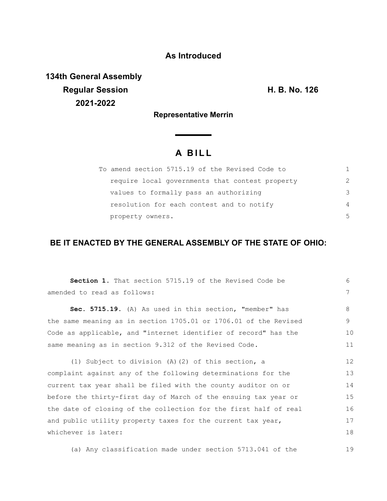## **As Introduced**

**134th General Assembly Regular Session H. B. No. 126 2021-2022**

19

**Representative Merrin**

 $\sim$ 

# **A B I L L**

| To amend section 5715.19 of the Revised Code to |               |
|-------------------------------------------------|---------------|
| require local governments that contest property | $\mathcal{P}$ |
| values to formally pass an authorizing          | 3             |
| resolution for each contest and to notify       | 4             |
| property owners.                                | .5            |

### **BE IT ENACTED BY THE GENERAL ASSEMBLY OF THE STATE OF OHIO:**

| <b>Section 1.</b> That section 5715.19 of the Revised Code be    | $6 \overline{6}$ |
|------------------------------------------------------------------|------------------|
| amended to read as follows:                                      | 7                |
| Sec. 5715.19. (A) As used in this section, "member" has          | 8                |
| the same meaning as in section 1705.01 or 1706.01 of the Revised | 9                |
| Code as applicable, and "internet identifier of record" has the  | 10               |
| same meaning as in section 9.312 of the Revised Code.            | 11               |
| (1) Subject to division (A) (2) of this section, a               | 12               |
| complaint against any of the following determinations for the    | 13               |
| current tax year shall be filed with the county auditor on or    | 14               |
| before the thirty-first day of March of the ensuing tax year or  | 15               |
| the date of closing of the collection for the first half of real | 16               |
| and public utility property taxes for the current tax year,      | 17               |
| whichever is later:                                              |                  |
|                                                                  |                  |

(a) Any classification made under section 5713.041 of the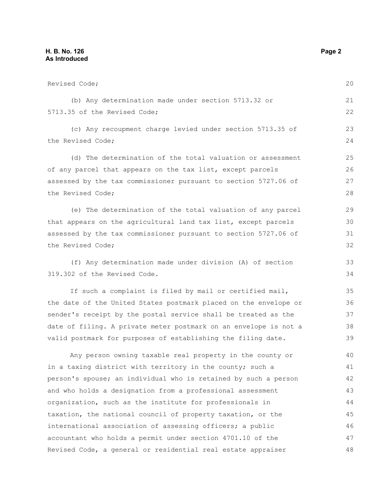| Revised Code;                                                    | 20 |
|------------------------------------------------------------------|----|
| (b) Any determination made under section 5713.32 or              | 21 |
| 5713.35 of the Revised Code;                                     | 22 |
| (c) Any recoupment charge levied under section 5713.35 of        | 23 |
| the Revised Code;                                                |    |
| (d) The determination of the total valuation or assessment       | 25 |
| of any parcel that appears on the tax list, except parcels       | 26 |
| assessed by the tax commissioner pursuant to section 5727.06 of  | 27 |
| the Revised Code;                                                | 28 |
| (e) The determination of the total valuation of any parcel       | 29 |
| that appears on the agricultural land tax list, except parcels   | 30 |
| assessed by the tax commissioner pursuant to section 5727.06 of  | 31 |
| the Revised Code;                                                | 32 |
| (f) Any determination made under division (A) of section         | 33 |
| 319.302 of the Revised Code.                                     | 34 |
| If such a complaint is filed by mail or certified mail,          | 35 |
| the date of the United States postmark placed on the envelope or | 36 |
| sender's receipt by the postal service shall be treated as the   | 37 |
| date of filing. A private meter postmark on an envelope is not a | 38 |
| valid postmark for purposes of establishing the filing date.     | 39 |
| Any person owning taxable real property in the county or         | 40 |
| in a taxing district with territory in the county; such a        | 41 |
| person's spouse; an individual who is retained by such a person  | 42 |
| and who holds a designation from a professional assessment       | 43 |
| organization, such as the institute for professionals in         | 44 |
| taxation, the national council of property taxation, or the      | 45 |
| international association of assessing officers; a public        | 46 |
| accountant who holds a permit under section 4701.10 of the       | 47 |
| Revised Code, a general or residential real estate appraiser     | 48 |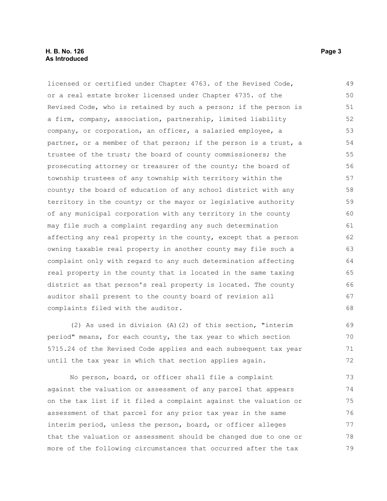#### **H. B. No. 126** Page 3 **As Introduced**

licensed or certified under Chapter 4763. of the Revised Code, or a real estate broker licensed under Chapter 4735. of the Revised Code, who is retained by such a person; if the person is a firm, company, association, partnership, limited liability company, or corporation, an officer, a salaried employee, a partner, or a member of that person; if the person is a trust, a trustee of the trust; the board of county commissioners; the prosecuting attorney or treasurer of the county; the board of township trustees of any township with territory within the county; the board of education of any school district with any territory in the county; or the mayor or legislative authority of any municipal corporation with any territory in the county may file such a complaint regarding any such determination affecting any real property in the county, except that a person owning taxable real property in another county may file such a complaint only with regard to any such determination affecting real property in the county that is located in the same taxing district as that person's real property is located. The county auditor shall present to the county board of revision all complaints filed with the auditor. 49 50 51 52 53 54 55 56 57 58 59 60 61 62 63 64 65 66 67 68

(2) As used in division (A)(2) of this section, "interim period" means, for each county, the tax year to which section 5715.24 of the Revised Code applies and each subsequent tax year until the tax year in which that section applies again. 69 70 71 72

No person, board, or officer shall file a complaint against the valuation or assessment of any parcel that appears on the tax list if it filed a complaint against the valuation or assessment of that parcel for any prior tax year in the same interim period, unless the person, board, or officer alleges that the valuation or assessment should be changed due to one or more of the following circumstances that occurred after the tax 73 74 75 76 77 78 79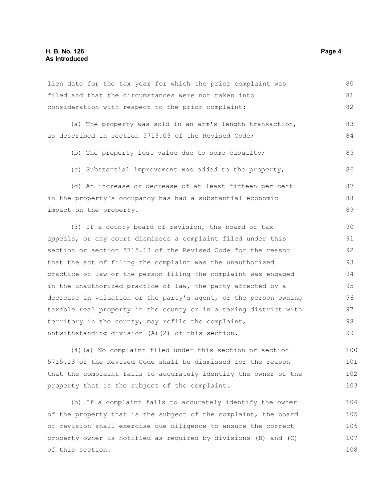#### **H. B. No. 126** Page 4 **As Introduced**

lien date for the tax year for which the prior complaint was filed and that the circumstances were not taken into consideration with respect to the prior complaint: (a) The property was sold in an arm's length transaction, as described in section 5713.03 of the Revised Code; (b) The property lost value due to some casualty; (c) Substantial improvement was added to the property; (d) An increase or decrease of at least fifteen per cent in the property's occupancy has had a substantial economic impact on the property. (3) If a county board of revision, the board of tax appeals, or any court dismisses a complaint filed under this section or section 5715.13 of the Revised Code for the reason that the act of filing the complaint was the unauthorized practice of law or the person filing the complaint was engaged in the unauthorized practice of law, the party affected by a decrease in valuation or the party's agent, or the person owning taxable real property in the county or in a taxing district with territory in the county, may refile the complaint, notwithstanding division (A)(2) of this section. (4)(a) No complaint filed under this section or section 80 81 82 83 84 85 86 87 88 89 90 91 92 93 94 95 96 97 98 99 100

5715.13 of the Revised Code shall be dismissed for the reason that the complaint fails to accurately identify the owner of the property that is the subject of the complaint. 101 102 103

(b) If a complaint fails to accurately identify the owner of the property that is the subject of the complaint, the board of revision shall exercise due diligence to ensure the correct property owner is notified as required by divisions (B) and (C) of this section. 104 105 106 107 108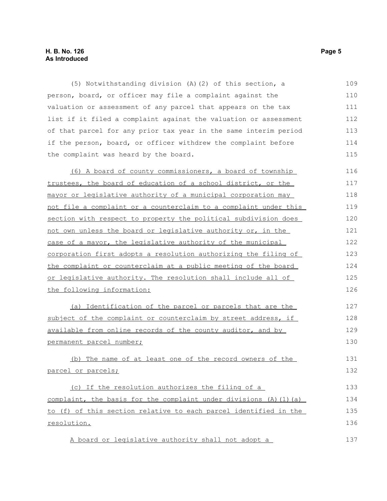#### **H. B. No. 126 Page 5 As Introduced**

(5) Notwithstanding division (A)(2) of this section, a person, board, or officer may file a complaint against the valuation or assessment of any parcel that appears on the tax list if it filed a complaint against the valuation or assessment of that parcel for any prior tax year in the same interim period if the person, board, or officer withdrew the complaint before the complaint was heard by the board. 109 110 111 112 113 114 115

(6) A board of county commissioners, a board of township trustees, the board of education of a school district, or the mayor or legislative authority of a municipal corporation may not file a complaint or a counterclaim to a complaint under this section with respect to property the political subdivision does not own unless the board or legislative authority or, in the case of a mayor, the legislative authority of the municipal corporation first adopts a resolution authorizing the filing of the complaint or counterclaim at a public meeting of the board or legislative authority. The resolution shall include all of the following information: 116 117 118 119 120 121 122 123 124 125 126

(a) Identification of the parcel or parcels that are the subject of the complaint or counterclaim by street address, if available from online records of the county auditor, and by permanent parcel number; 127 128 129 130

(b) The name of at least one of the record owners of the parcel or parcels; 131 132

(c) If the resolution authorizes the filing of a complaint, the basis for the complaint under divisions  $(A)$   $(1)$   $(a)$ to (f) of this section relative to each parcel identified in the resolution. 133 134 135 136

A board or legislative authority shall not adopt a

137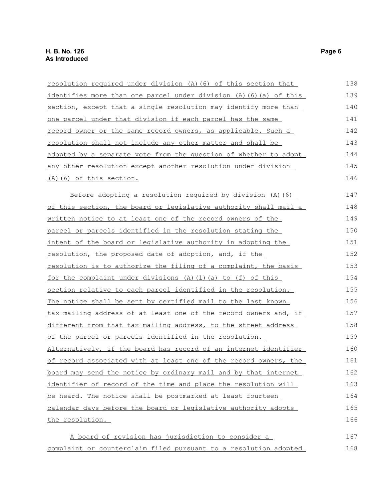| resolution required under division (A) (6) of this section that    | 138 |
|--------------------------------------------------------------------|-----|
| identifies more than one parcel under division (A) (6) (a) of this | 139 |
| section, except that a single resolution may identify more than    | 140 |
| one parcel under that division if each parcel has the same         | 141 |
| record owner or the same record owners, as applicable. Such a      | 142 |
| resolution shall not include any other matter and shall be         | 143 |
| adopted by a separate vote from the question of whether to adopt   | 144 |
| any other resolution except another resolution under division      | 145 |
| (A) (6) of this section.                                           | 146 |
| Before adopting a resolution required by division (A) (6)          | 147 |
| of this section, the board or legislative authority shall mail a   | 148 |
| written notice to at least one of the record owners of the         | 149 |
| parcel or parcels identified in the resolution stating the         | 150 |
| intent of the board or legislative authority in adopting the       | 151 |
| <u>resolution, the proposed date of adoption, and, if the</u>      | 152 |
| resolution is to authorize the filing of a complaint, the basis    | 153 |
| <u>for the complaint under divisions (A)(1)(a) to (f) of this</u>  | 154 |
| section relative to each parcel identified in the resolution.      | 155 |
| The notice shall be sent by certified mail to the last known       | 156 |
| tax-mailing address of at least one of the record owners and, if   | 157 |
| different from that tax-mailing address, to the street address     | 158 |
| of the parcel or parcels identified in the resolution.             | 159 |
| Alternatively, if the board has record of an internet identifier   | 160 |
| of record associated with at least one of the record owners, the   | 161 |
| board may send the notice by ordinary mail and by that internet    | 162 |
| identifier of record of the time and place the resolution will     | 163 |
| be heard. The notice shall be postmarked at least fourteen         | 164 |
| calendar days before the board or legislative authority adopts     | 165 |
| the resolution.                                                    | 166 |
| A board of revision has jurisdiction to consider a                 | 167 |
| complaint or counterclaim filed pursuant to a resolution adopted   | 168 |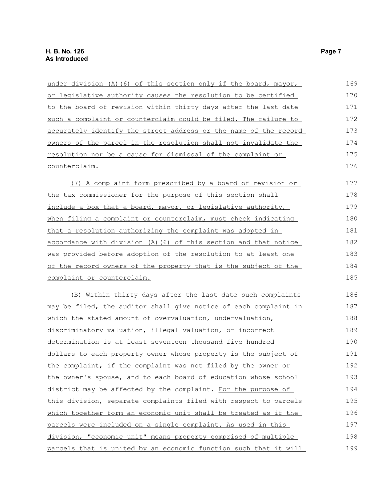| under division (A) (6) of this section only if the board, mayor,       | 169 |
|------------------------------------------------------------------------|-----|
| or legislative authority causes the resolution to be certified         | 170 |
| to the board of revision within thirty days after the last date        | 171 |
| such a complaint or counterclaim could be filed. The failure to        | 172 |
| accurately identify the street address or the name of the record       | 173 |
| <u>owners of the parcel in the resolution shall not invalidate the</u> | 174 |
| resolution nor be a cause for dismissal of the complaint or            | 175 |
| counterclaim.                                                          | 176 |
| (7) A complaint form prescribed by a board of revision or              | 177 |
| the tax commissioner for the purpose of this section shall             | 178 |
| include a box that a board, mayor, or legislative authority,           | 179 |
| when filing a complaint or counterclaim, must check indicating         | 180 |
| that a resolution authorizing the complaint was adopted in             | 181 |
| accordance with division (A) (6) of this section and that notice       | 182 |
| was provided before adoption of the resolution to at least one         | 183 |
| of the record owners of the property that is the subject of the        | 184 |
| complaint or counterclaim.                                             | 185 |
| (B) Within thirty days after the last date such complaints             | 186 |
| may be filed, the auditor shall give notice of each complaint in       | 187 |
| which the stated amount of overvaluation, undervaluation,              | 188 |
| discriminatory valuation, illegal valuation, or incorrect              | 189 |
| determination is at least seventeen thousand five hundred              | 190 |
| dollars to each property owner whose property is the subject of        | 191 |
| the complaint, if the complaint was not filed by the owner or          | 192 |
| the owner's spouse, and to each board of education whose school        | 193 |
| district may be affected by the complaint. For the purpose of          | 194 |
| this division, separate complaints filed with respect to parcels       | 195 |
| which together form an economic unit shall be treated as if the        | 196 |
| parcels were included on a single complaint. As used in this           | 197 |
| division, "economic unit" means property comprised of multiple         | 198 |
| parcels that is united by an economic function such that it will       | 199 |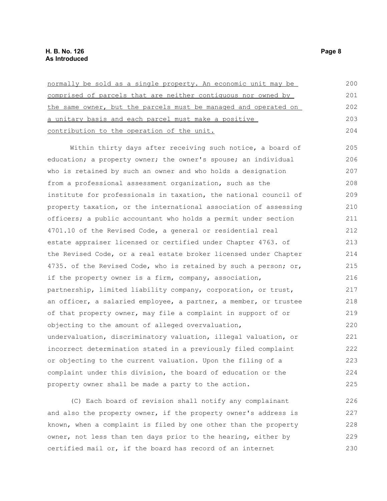| normally be sold as a single property. An economic unit may be                                  | 200                  |
|-------------------------------------------------------------------------------------------------|----------------------|
| comprised of parcels that are neither contiguous nor owned by                                   | 201                  |
| the same owner, but the parcels must be managed and operated on                                 | 202                  |
| a unitary basis and each parcel must make a positive                                            | 203                  |
| contribution to the operation of the unit.                                                      | 204                  |
| Within thirty days after receiving such notice, a board of                                      | 205                  |
| education; a property owner; the owner's spouse; an individual                                  | 206                  |
| who is retained by such an owner and who holds a designation                                    | 207                  |
| from a professional assessment organization, such as the                                        | 208                  |
| institute for professionals in taxation, the national council of                                | 209                  |
| property taxation, or the international association of assessing                                | 210                  |
| officers; a public accountant who holds a permit under section                                  | 211                  |
| 4701.10 of the Revised Code, a general or residential real                                      | 212                  |
| estate appraiser licensed or certified under Chapter 4763. of                                   | 213                  |
| the Revised Code, or a real estate broker licensed under Chapter                                | 214                  |
| 4735. of the Revised Code, who is retained by such a person; or,                                | 215                  |
| if the property owner is a firm, company, association,                                          | 216                  |
| partnership, limited liability company, corporation, or trust,                                  | 217                  |
| an officer, a salaried employee, a partner, a member, or trustee                                | 218                  |
| of that property owner, may file a complaint in support of or                                   | 219                  |
| objecting to the amount of alleged overvaluation,                                               | 220                  |
| undervaluation, discriminatory valuation, illegal valuation, or                                 | 221                  |
| incorrect determination stated in a previously filed complaint                                  | 222                  |
| or objecting to the current valuation. Upon the filing of a                                     | 223                  |
| complaint under this division, the board of education or the                                    | 224                  |
| property owner shall be made a party to the action.                                             | 225                  |
| $\mathcal{L}(\alpha)$ in the set of the state of the state of $\alpha$ is the state of $\alpha$ | $\cap$ $\cap$ $\cap$ |

(C) Each board of revision shall notify any complainant and also the property owner, if the property owner's address is known, when a complaint is filed by one other than the property owner, not less than ten days prior to the hearing, either by certified mail or, if the board has record of an internet 226 227 228 229 230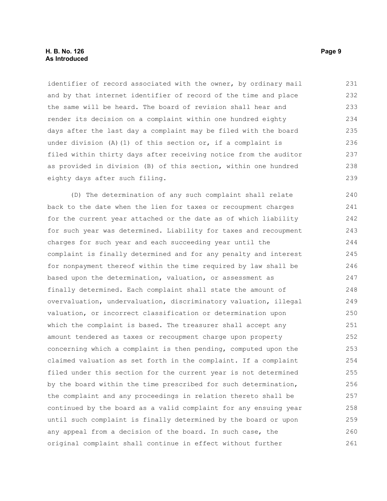#### **H. B. No. 126 Page 9 As Introduced**

identifier of record associated with the owner, by ordinary mail and by that internet identifier of record of the time and place the same will be heard. The board of revision shall hear and render its decision on a complaint within one hundred eighty days after the last day a complaint may be filed with the board under division (A)(1) of this section or, if a complaint is filed within thirty days after receiving notice from the auditor as provided in division (B) of this section, within one hundred eighty days after such filing. 231 232 233 234 235 236 237 238 239

(D) The determination of any such complaint shall relate back to the date when the lien for taxes or recoupment charges for the current year attached or the date as of which liability for such year was determined. Liability for taxes and recoupment charges for such year and each succeeding year until the complaint is finally determined and for any penalty and interest for nonpayment thereof within the time required by law shall be based upon the determination, valuation, or assessment as finally determined. Each complaint shall state the amount of overvaluation, undervaluation, discriminatory valuation, illegal valuation, or incorrect classification or determination upon which the complaint is based. The treasurer shall accept any amount tendered as taxes or recoupment charge upon property concerning which a complaint is then pending, computed upon the claimed valuation as set forth in the complaint. If a complaint filed under this section for the current year is not determined by the board within the time prescribed for such determination, the complaint and any proceedings in relation thereto shall be continued by the board as a valid complaint for any ensuing year until such complaint is finally determined by the board or upon any appeal from a decision of the board. In such case, the original complaint shall continue in effect without further 240 241 242 243 244 245 246 247 248 249 250 251 252 253 254 255 256 257 258 259 260 261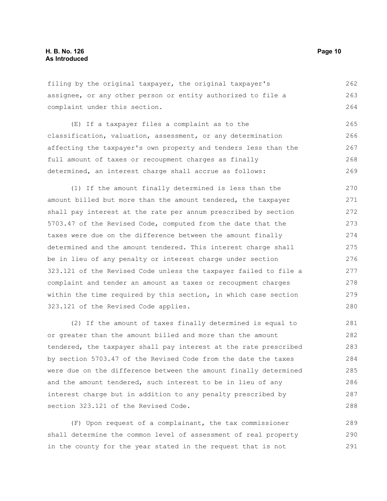filing by the original taxpayer, the original taxpayer's assignee, or any other person or entity authorized to file a complaint under this section. 262 263 264

(E) If a taxpayer files a complaint as to the classification, valuation, assessment, or any determination affecting the taxpayer's own property and tenders less than the full amount of taxes or recoupment charges as finally determined, an interest charge shall accrue as follows: 265 266 267 268 269

(1) If the amount finally determined is less than the amount billed but more than the amount tendered, the taxpayer shall pay interest at the rate per annum prescribed by section 5703.47 of the Revised Code, computed from the date that the taxes were due on the difference between the amount finally determined and the amount tendered. This interest charge shall be in lieu of any penalty or interest charge under section 323.121 of the Revised Code unless the taxpayer failed to file a complaint and tender an amount as taxes or recoupment charges within the time required by this section, in which case section 323.121 of the Revised Code applies. 270 271 272 273 274 275 276 277 278 279 280

(2) If the amount of taxes finally determined is equal to or greater than the amount billed and more than the amount tendered, the taxpayer shall pay interest at the rate prescribed by section 5703.47 of the Revised Code from the date the taxes were due on the difference between the amount finally determined and the amount tendered, such interest to be in lieu of any interest charge but in addition to any penalty prescribed by section 323.121 of the Revised Code. 281 282 283 284 285 286 287 288

(F) Upon request of a complainant, the tax commissioner shall determine the common level of assessment of real property in the county for the year stated in the request that is not 289 290 291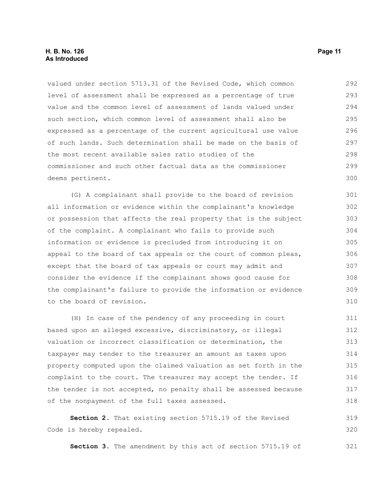#### **H. B. No. 126 Page 11 As Introduced**

valued under section 5713.31 of the Revised Code, which common level of assessment shall be expressed as a percentage of true value and the common level of assessment of lands valued under such section, which common level of assessment shall also be expressed as a percentage of the current agricultural use value of such lands. Such determination shall be made on the basis of the most recent available sales ratio studies of the commissioner and such other factual data as the commissioner deems pertinent. 292 293 294 295 296 297 298 299 300

(G) A complainant shall provide to the board of revision all information or evidence within the complainant's knowledge or possession that affects the real property that is the subject of the complaint. A complainant who fails to provide such information or evidence is precluded from introducing it on appeal to the board of tax appeals or the court of common pleas, except that the board of tax appeals or court may admit and consider the evidence if the complainant shows good cause for the complainant's failure to provide the information or evidence to the board of revision. 301 302 303 304 305 306 307 308 309 310

(H) In case of the pendency of any proceeding in court based upon an alleged excessive, discriminatory, or illegal valuation or incorrect classification or determination, the taxpayer may tender to the treasurer an amount as taxes upon property computed upon the claimed valuation as set forth in the complaint to the court. The treasurer may accept the tender. If the tender is not accepted, no penalty shall be assessed because of the nonpayment of the full taxes assessed. 311 312 313 314 315 316 317 318

**Section 2.** That existing section 5715.19 of the Revised Code is hereby repealed. 319 320

**Section 3.** The amendment by this act of section 5715.19 of 321